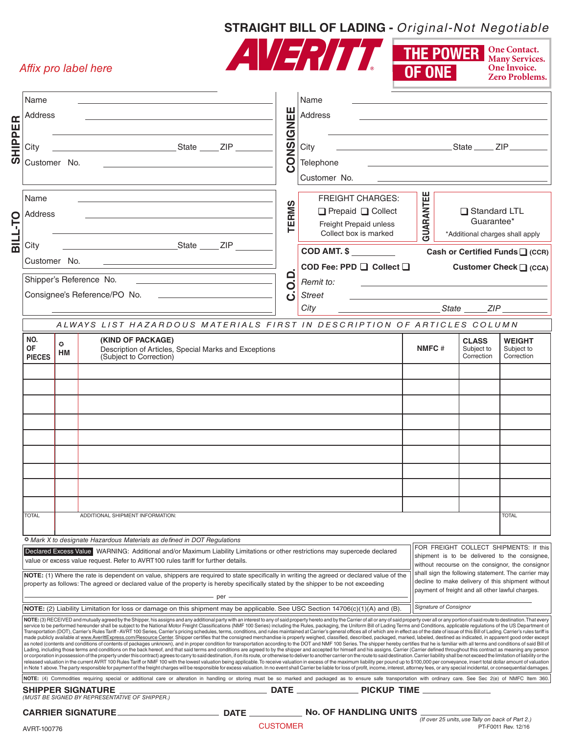## **STRAIGHT BILL OF LADING -** Original-Not Negotiable *and are available to the shipper, or request. Subject to the terms of the B.O.I. contract on the reverse side of this form.*

**THE POWER**

**One Contact. Many Services. One Invoice.**

CUSTOMER
PT-F0011 Rev. 12/16

*Affix pro label here*

|                           |                                                                                                                                                                                                                                                                                                 |  | Attix pro label here                                                                                                                                                                                                                                                                                                                                                                                                                                                                                                                                                                                                                                                                                                                                                                                                                                                                                                                                                                                                                                                                                                                                                                                                                                                                                                                                                                                                                                                                                                                                                                                                                                                                                                                                                                                                                                                                                                                                                                                                                                                                                           |              |                                                                      | $\sqrt{8}$                |                                                                  | OF ONE                                                                                                                                                                                             |                                                  | One Invoice.<br><b>Zero Problems.</b>                                                     |
|---------------------------|-------------------------------------------------------------------------------------------------------------------------------------------------------------------------------------------------------------------------------------------------------------------------------------------------|--|----------------------------------------------------------------------------------------------------------------------------------------------------------------------------------------------------------------------------------------------------------------------------------------------------------------------------------------------------------------------------------------------------------------------------------------------------------------------------------------------------------------------------------------------------------------------------------------------------------------------------------------------------------------------------------------------------------------------------------------------------------------------------------------------------------------------------------------------------------------------------------------------------------------------------------------------------------------------------------------------------------------------------------------------------------------------------------------------------------------------------------------------------------------------------------------------------------------------------------------------------------------------------------------------------------------------------------------------------------------------------------------------------------------------------------------------------------------------------------------------------------------------------------------------------------------------------------------------------------------------------------------------------------------------------------------------------------------------------------------------------------------------------------------------------------------------------------------------------------------------------------------------------------------------------------------------------------------------------------------------------------------------------------------------------------------------------------------------------------------|--------------|----------------------------------------------------------------------|---------------------------|------------------------------------------------------------------|----------------------------------------------------------------------------------------------------------------------------------------------------------------------------------------------------|--------------------------------------------------|-------------------------------------------------------------------------------------------|
| SHIPPER<br><b>DILT-10</b> | Name                                                                                                                                                                                                                                                                                            |  |                                                                                                                                                                                                                                                                                                                                                                                                                                                                                                                                                                                                                                                                                                                                                                                                                                                                                                                                                                                                                                                                                                                                                                                                                                                                                                                                                                                                                                                                                                                                                                                                                                                                                                                                                                                                                                                                                                                                                                                                                                                                                                                |              |                                                                      | Name                      |                                                                  |                                                                                                                                                                                                    |                                                  |                                                                                           |
|                           | Address                                                                                                                                                                                                                                                                                         |  |                                                                                                                                                                                                                                                                                                                                                                                                                                                                                                                                                                                                                                                                                                                                                                                                                                                                                                                                                                                                                                                                                                                                                                                                                                                                                                                                                                                                                                                                                                                                                                                                                                                                                                                                                                                                                                                                                                                                                                                                                                                                                                                |              |                                                                      | Address                   |                                                                  |                                                                                                                                                                                                    |                                                  | the control of the control of the control of the control of the control of the control of |
|                           | City                                                                                                                                                                                                                                                                                            |  |                                                                                                                                                                                                                                                                                                                                                                                                                                                                                                                                                                                                                                                                                                                                                                                                                                                                                                                                                                                                                                                                                                                                                                                                                                                                                                                                                                                                                                                                                                                                                                                                                                                                                                                                                                                                                                                                                                                                                                                                                                                                                                                | CONSIGNEE    | City                                                                 |                           |                                                                  |                                                                                                                                                                                                    |                                                  |                                                                                           |
|                           | Customer No.                                                                                                                                                                                                                                                                                    |  |                                                                                                                                                                                                                                                                                                                                                                                                                                                                                                                                                                                                                                                                                                                                                                                                                                                                                                                                                                                                                                                                                                                                                                                                                                                                                                                                                                                                                                                                                                                                                                                                                                                                                                                                                                                                                                                                                                                                                                                                                                                                                                                |              |                                                                      | Telephone<br>Customer No. |                                                                  |                                                                                                                                                                                                    |                                                  |                                                                                           |
|                           |                                                                                                                                                                                                                                                                                                 |  |                                                                                                                                                                                                                                                                                                                                                                                                                                                                                                                                                                                                                                                                                                                                                                                                                                                                                                                                                                                                                                                                                                                                                                                                                                                                                                                                                                                                                                                                                                                                                                                                                                                                                                                                                                                                                                                                                                                                                                                                                                                                                                                |              |                                                                      |                           |                                                                  |                                                                                                                                                                                                    |                                                  |                                                                                           |
|                           | Name<br>Address<br><b>State</b> Manual State Manual State Manual State Manual State State State State State State State State State State State State State State State State State State State State State State State State State State State State<br>City                                   |  |                                                                                                                                                                                                                                                                                                                                                                                                                                                                                                                                                                                                                                                                                                                                                                                                                                                                                                                                                                                                                                                                                                                                                                                                                                                                                                                                                                                                                                                                                                                                                                                                                                                                                                                                                                                                                                                                                                                                                                                                                                                                                                                | <b>TERMS</b> | <b>FREIGHT CHARGES:</b><br>Prepaid Collect<br>Freight Prepaid unless |                           | GUARANTEE                                                        | Standard LTL<br>Guarantee*                                                                                                                                                                         |                                                  |                                                                                           |
|                           |                                                                                                                                                                                                                                                                                                 |  |                                                                                                                                                                                                                                                                                                                                                                                                                                                                                                                                                                                                                                                                                                                                                                                                                                                                                                                                                                                                                                                                                                                                                                                                                                                                                                                                                                                                                                                                                                                                                                                                                                                                                                                                                                                                                                                                                                                                                                                                                                                                                                                |              | Collect box is marked<br><b>COD AMT. \$</b>                          |                           | *Additional charges shall apply<br>Cash or Certified Funds (CCR) |                                                                                                                                                                                                    |                                                  |                                                                                           |
|                           | Customer No.                                                                                                                                                                                                                                                                                    |  |                                                                                                                                                                                                                                                                                                                                                                                                                                                                                                                                                                                                                                                                                                                                                                                                                                                                                                                                                                                                                                                                                                                                                                                                                                                                                                                                                                                                                                                                                                                                                                                                                                                                                                                                                                                                                                                                                                                                                                                                                                                                                                                |              | COD Fee: PPD   Collect                                               |                           |                                                                  |                                                                                                                                                                                                    | Customer Check   (CCA)                           |                                                                                           |
|                           | Shipper's Reference No.<br><u> 1989 - Johann John Stein, mars and de British and de British and de British and de British and de British and</u>                                                                                                                                                |  |                                                                                                                                                                                                                                                                                                                                                                                                                                                                                                                                                                                                                                                                                                                                                                                                                                                                                                                                                                                                                                                                                                                                                                                                                                                                                                                                                                                                                                                                                                                                                                                                                                                                                                                                                                                                                                                                                                                                                                                                                                                                                                                | q            | Remit to:                                                            |                           |                                                                  |                                                                                                                                                                                                    |                                                  |                                                                                           |
|                           | Consignee's Reference/PO No.                                                                                                                                                                                                                                                                    |  |                                                                                                                                                                                                                                                                                                                                                                                                                                                                                                                                                                                                                                                                                                                                                                                                                                                                                                                                                                                                                                                                                                                                                                                                                                                                                                                                                                                                                                                                                                                                                                                                                                                                                                                                                                                                                                                                                                                                                                                                                                                                                                                | Ö            | <b>Street</b>                                                        |                           |                                                                  |                                                                                                                                                                                                    |                                                  |                                                                                           |
|                           |                                                                                                                                                                                                                                                                                                 |  |                                                                                                                                                                                                                                                                                                                                                                                                                                                                                                                                                                                                                                                                                                                                                                                                                                                                                                                                                                                                                                                                                                                                                                                                                                                                                                                                                                                                                                                                                                                                                                                                                                                                                                                                                                                                                                                                                                                                                                                                                                                                                                                |              |                                                                      | City                      |                                                                  |                                                                                                                                                                                                    |                                                  | <u>State</u> ZIP ZIP                                                                      |
|                           | ALWAYS LIST HAZARDOUS MATERIALS FIRST IN DESCRIPTION OF ARTICLES COLUMN                                                                                                                                                                                                                         |  |                                                                                                                                                                                                                                                                                                                                                                                                                                                                                                                                                                                                                                                                                                                                                                                                                                                                                                                                                                                                                                                                                                                                                                                                                                                                                                                                                                                                                                                                                                                                                                                                                                                                                                                                                                                                                                                                                                                                                                                                                                                                                                                |              |                                                                      |                           |                                                                  |                                                                                                                                                                                                    |                                                  |                                                                                           |
|                           | NO.<br>(KIND OF PACKAGE)<br>$\bullet$<br>0F<br>Description of Articles, Special Marks and Exceptions<br>HM                                                                                                                                                                                      |  |                                                                                                                                                                                                                                                                                                                                                                                                                                                                                                                                                                                                                                                                                                                                                                                                                                                                                                                                                                                                                                                                                                                                                                                                                                                                                                                                                                                                                                                                                                                                                                                                                                                                                                                                                                                                                                                                                                                                                                                                                                                                                                                |              |                                                                      |                           |                                                                  | NMFC#                                                                                                                                                                                              | <b>CLASS</b><br>Subject to                       | <b>WEIGHT</b><br>Subject to                                                               |
|                           | <b>PIECES</b>                                                                                                                                                                                                                                                                                   |  | (Subject to Correction)                                                                                                                                                                                                                                                                                                                                                                                                                                                                                                                                                                                                                                                                                                                                                                                                                                                                                                                                                                                                                                                                                                                                                                                                                                                                                                                                                                                                                                                                                                                                                                                                                                                                                                                                                                                                                                                                                                                                                                                                                                                                                        |              |                                                                      |                           |                                                                  |                                                                                                                                                                                                    | Correction                                       | Correction                                                                                |
|                           |                                                                                                                                                                                                                                                                                                 |  |                                                                                                                                                                                                                                                                                                                                                                                                                                                                                                                                                                                                                                                                                                                                                                                                                                                                                                                                                                                                                                                                                                                                                                                                                                                                                                                                                                                                                                                                                                                                                                                                                                                                                                                                                                                                                                                                                                                                                                                                                                                                                                                |              |                                                                      |                           |                                                                  |                                                                                                                                                                                                    |                                                  |                                                                                           |
|                           |                                                                                                                                                                                                                                                                                                 |  |                                                                                                                                                                                                                                                                                                                                                                                                                                                                                                                                                                                                                                                                                                                                                                                                                                                                                                                                                                                                                                                                                                                                                                                                                                                                                                                                                                                                                                                                                                                                                                                                                                                                                                                                                                                                                                                                                                                                                                                                                                                                                                                |              |                                                                      |                           |                                                                  |                                                                                                                                                                                                    |                                                  |                                                                                           |
|                           |                                                                                                                                                                                                                                                                                                 |  |                                                                                                                                                                                                                                                                                                                                                                                                                                                                                                                                                                                                                                                                                                                                                                                                                                                                                                                                                                                                                                                                                                                                                                                                                                                                                                                                                                                                                                                                                                                                                                                                                                                                                                                                                                                                                                                                                                                                                                                                                                                                                                                |              |                                                                      |                           |                                                                  |                                                                                                                                                                                                    |                                                  |                                                                                           |
|                           |                                                                                                                                                                                                                                                                                                 |  |                                                                                                                                                                                                                                                                                                                                                                                                                                                                                                                                                                                                                                                                                                                                                                                                                                                                                                                                                                                                                                                                                                                                                                                                                                                                                                                                                                                                                                                                                                                                                                                                                                                                                                                                                                                                                                                                                                                                                                                                                                                                                                                |              |                                                                      |                           |                                                                  |                                                                                                                                                                                                    |                                                  |                                                                                           |
|                           |                                                                                                                                                                                                                                                                                                 |  |                                                                                                                                                                                                                                                                                                                                                                                                                                                                                                                                                                                                                                                                                                                                                                                                                                                                                                                                                                                                                                                                                                                                                                                                                                                                                                                                                                                                                                                                                                                                                                                                                                                                                                                                                                                                                                                                                                                                                                                                                                                                                                                |              |                                                                      |                           |                                                                  |                                                                                                                                                                                                    |                                                  |                                                                                           |
|                           |                                                                                                                                                                                                                                                                                                 |  |                                                                                                                                                                                                                                                                                                                                                                                                                                                                                                                                                                                                                                                                                                                                                                                                                                                                                                                                                                                                                                                                                                                                                                                                                                                                                                                                                                                                                                                                                                                                                                                                                                                                                                                                                                                                                                                                                                                                                                                                                                                                                                                |              |                                                                      |                           |                                                                  |                                                                                                                                                                                                    |                                                  |                                                                                           |
|                           |                                                                                                                                                                                                                                                                                                 |  |                                                                                                                                                                                                                                                                                                                                                                                                                                                                                                                                                                                                                                                                                                                                                                                                                                                                                                                                                                                                                                                                                                                                                                                                                                                                                                                                                                                                                                                                                                                                                                                                                                                                                                                                                                                                                                                                                                                                                                                                                                                                                                                |              |                                                                      |                           |                                                                  |                                                                                                                                                                                                    |                                                  |                                                                                           |
|                           |                                                                                                                                                                                                                                                                                                 |  |                                                                                                                                                                                                                                                                                                                                                                                                                                                                                                                                                                                                                                                                                                                                                                                                                                                                                                                                                                                                                                                                                                                                                                                                                                                                                                                                                                                                                                                                                                                                                                                                                                                                                                                                                                                                                                                                                                                                                                                                                                                                                                                |              |                                                                      |                           |                                                                  |                                                                                                                                                                                                    |                                                  |                                                                                           |
|                           | <b>TOTAL</b>                                                                                                                                                                                                                                                                                    |  | ADDITIONAL SHIPMENT INFORMATION:                                                                                                                                                                                                                                                                                                                                                                                                                                                                                                                                                                                                                                                                                                                                                                                                                                                                                                                                                                                                                                                                                                                                                                                                                                                                                                                                                                                                                                                                                                                                                                                                                                                                                                                                                                                                                                                                                                                                                                                                                                                                               |              |                                                                      |                           |                                                                  |                                                                                                                                                                                                    |                                                  | <b>TOTAL</b>                                                                              |
|                           | <b>C</b> Mark X to designate Hazardous Materials as defined in DOT Regulations                                                                                                                                                                                                                  |  |                                                                                                                                                                                                                                                                                                                                                                                                                                                                                                                                                                                                                                                                                                                                                                                                                                                                                                                                                                                                                                                                                                                                                                                                                                                                                                                                                                                                                                                                                                                                                                                                                                                                                                                                                                                                                                                                                                                                                                                                                                                                                                                |              |                                                                      |                           |                                                                  |                                                                                                                                                                                                    |                                                  |                                                                                           |
|                           | Declared Excess Value WARNING: Additional and/or Maximum Liability Limitations or other restrictions may supercede declared<br>value or excess value request. Refer to AVRT100 rules tariff for further details.                                                                                |  |                                                                                                                                                                                                                                                                                                                                                                                                                                                                                                                                                                                                                                                                                                                                                                                                                                                                                                                                                                                                                                                                                                                                                                                                                                                                                                                                                                                                                                                                                                                                                                                                                                                                                                                                                                                                                                                                                                                                                                                                                                                                                                                |              |                                                                      |                           |                                                                  | FOR FREIGHT COLLECT SHIPMENTS: If this<br>shipment is to be delivered to the consignee,<br>without recourse on the consignor, the consignor<br>shall sign the following statement. The carrier may |                                                  |                                                                                           |
|                           | NOTE: (1) Where the rate is dependent on value, shippers are required to state specifically in writing the agreed or declared value of the<br>property as follows: The agreed or declared value of the property is hereby specifically stated by the shipper to be not exceeding<br>$-$ per $-$ |  |                                                                                                                                                                                                                                                                                                                                                                                                                                                                                                                                                                                                                                                                                                                                                                                                                                                                                                                                                                                                                                                                                                                                                                                                                                                                                                                                                                                                                                                                                                                                                                                                                                                                                                                                                                                                                                                                                                                                                                                                                                                                                                                |              |                                                                      |                           |                                                                  | decline to make delivery of this shipment without<br>payment of freight and all other lawful charges.                                                                                              |                                                  |                                                                                           |
|                           | NOTE: (2) Liability Limitation for loss or damage on this shipment may be applicable. See USC Section 14706(c)(1)(A) and (B).                                                                                                                                                                   |  |                                                                                                                                                                                                                                                                                                                                                                                                                                                                                                                                                                                                                                                                                                                                                                                                                                                                                                                                                                                                                                                                                                                                                                                                                                                                                                                                                                                                                                                                                                                                                                                                                                                                                                                                                                                                                                                                                                                                                                                                                                                                                                                |              |                                                                      |                           |                                                                  | Signature of Consignor                                                                                                                                                                             |                                                  |                                                                                           |
|                           |                                                                                                                                                                                                                                                                                                 |  | NOTE: (3) RECEIVED and mutually agreed by the Shipper, his assigns and any additional party with an interest to any of said property hereto and by the Carrier of all or any of said property over all or any of said property<br>service to be performed hereunder shall be subject to the National Motor Freight Classifications (NMF 100 Series) including the Rules, packaging, the Uniform Bill of Lading Terms and Conditions, applicable regulations of t<br>Transportation (DOT), Carrier's Rules Tariff - AVRT 100 Series, Carrier's pricing schedules, terms, conditions, and rules maintained at Carrier's general offices all of which are in effect as of the date of issue of this B<br>made publicly available at www.AverittExpress.com/Resource Center. Shipper certifies that the consigned merchandise is properly weighed, classified, described, packaged, marked, labeled, destined as indicated, in apparent<br>as noted (contents and conditions of contents of packages unknown), and in proper condition for transportation according to the DOT and NMF 100 Series. The shipper hereby certifies that he is familiar with all terms and co<br>Lading, including those terms and conditions on the back hereof, and that said terms and conditions are agreed to by the shipper and accepted for himself and his assigns. Carrier (Carrier defined throughout this contract a<br>or corporation in possession of the property under this contract) agrees to carry to said destination, if on its route, or otherwise to deliver to another carrier on the route to said destination. Carrier liability shall b<br>released valuation in the current AVRT 100 Rules Tariff or NMF 100 with the lowest valuation being applicable. To receive valuation in excess of the maximum liability per pound up to \$100,000 per conveyance, insert total d<br>in Note 1 above. The party responsible for payment of the freight charges will be responsible for excess valuation. In no event shall Carrier be liable for loss of profit, income, interest, attorney fees, or any special in |              |                                                                      |                           |                                                                  |                                                                                                                                                                                                    |                                                  |                                                                                           |
|                           |                                                                                                                                                                                                                                                                                                 |  | NOTE: (4) Commodities requiring special or additional care or alteration in handling or storing must be so marked and packaged as to ensure safe transportation with ordinary care. See Sec 2(e) of NMFC Item 360.                                                                                                                                                                                                                                                                                                                                                                                                                                                                                                                                                                                                                                                                                                                                                                                                                                                                                                                                                                                                                                                                                                                                                                                                                                                                                                                                                                                                                                                                                                                                                                                                                                                                                                                                                                                                                                                                                             |              |                                                                      |                           |                                                                  |                                                                                                                                                                                                    |                                                  |                                                                                           |
|                           |                                                                                                                                                                                                                                                                                                 |  | <b>SHIPPER SIGNATURE</b><br>(MUST BE SIGNED BY REPRESENTATIVE OF SHIPPER.)                                                                                                                                                                                                                                                                                                                                                                                                                                                                                                                                                                                                                                                                                                                                                                                                                                                                                                                                                                                                                                                                                                                                                                                                                                                                                                                                                                                                                                                                                                                                                                                                                                                                                                                                                                                                                                                                                                                                                                                                                                     |              |                                                                      |                           |                                                                  |                                                                                                                                                                                                    |                                                  |                                                                                           |
|                           |                                                                                                                                                                                                                                                                                                 |  |                                                                                                                                                                                                                                                                                                                                                                                                                                                                                                                                                                                                                                                                                                                                                                                                                                                                                                                                                                                                                                                                                                                                                                                                                                                                                                                                                                                                                                                                                                                                                                                                                                                                                                                                                                                                                                                                                                                                                                                                                                                                                                                |              |                                                                      |                           |                                                                  |                                                                                                                                                                                                    | (If over 25 units, use Tally on back of Part 2.) |                                                                                           |

AVRT-100776